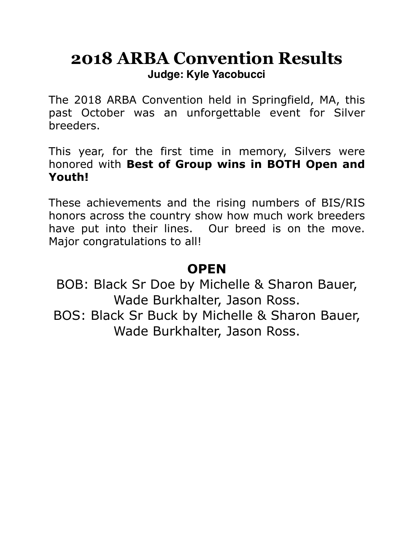# **2018 ARBA Convention Results Judge: Kyle Yacobucci**

The 2018 ARBA Convention held in Springfield, MA, this past October was an unforgettable event for Silver breeders.

This year, for the first time in memory, Silvers were honored with **Best of Group wins in BOTH Open and Youth!** 

These achievements and the rising numbers of BIS/RIS honors across the country show how much work breeders have put into their lines. Our breed is on the move. Major congratulations to all!

# **OPEN**

BOB: Black Sr Doe by Michelle & Sharon Bauer, Wade Burkhalter, Jason Ross. BOS: Black Sr Buck by Michelle & Sharon Bauer, Wade Burkhalter, Jason Ross.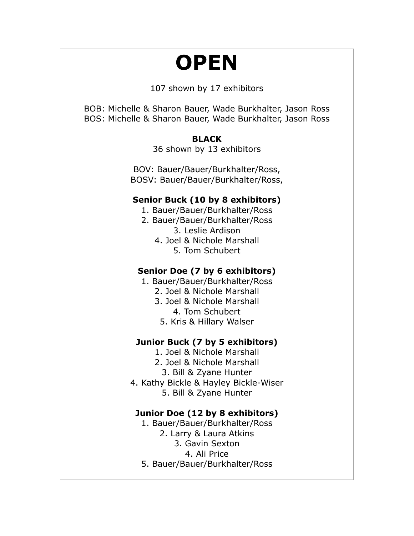# **OPEN**

107 shown by 17 exhibitors

BOB: Michelle & Sharon Bauer, Wade Burkhalter, Jason Ross BOS: Michelle & Sharon Bauer, Wade Burkhalter, Jason Ross

# **BLACK**

36 shown by 13 exhibitors

BOV: Bauer/Bauer/Burkhalter/Ross, BOSV: Bauer/Bauer/Burkhalter/Ross,

# **Senior Buck (10 by 8 exhibitors)**

- 1. Bauer/Bauer/Burkhalter/Ross
- 2. Bauer/Bauer/Burkhalter/Ross
	- 3. Leslie Ardison
	- 4. Joel & Nichole Marshall
		- 5. Tom Schubert

# **Senior Doe (7 by 6 exhibitors)**

- 1. Bauer/Bauer/Burkhalter/Ross
	- 2. Joel & Nichole Marshall
	- 3. Joel & Nichole Marshall
		- 4. Tom Schubert
		- 5. Kris & Hillary Walser

# **Junior Buck (7 by 5 exhibitors)**

- 1. Joel & Nichole Marshall
- 2. Joel & Nichole Marshall
	- 3. Bill & Zyane Hunter
- 4. Kathy Bickle & Hayley Bickle-Wiser 5. Bill & Zyane Hunter

# **Junior Doe (12 by 8 exhibitors)**

- 1. Bauer/Bauer/Burkhalter/Ross
	- 2. Larry & Laura Atkins
		- 3. Gavin Sexton
			- 4. Ali Price
- 5. Bauer/Bauer/Burkhalter/Ross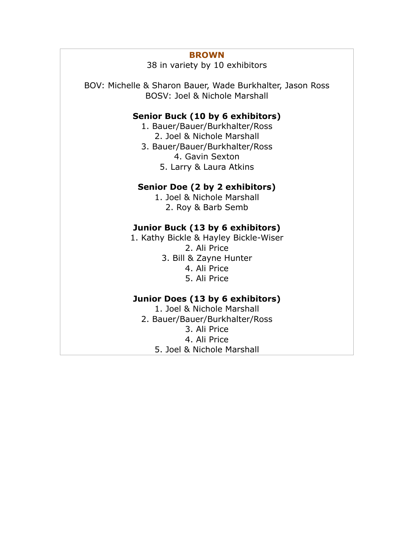#### **BROWN**

38 in variety by 10 exhibitors

BOV: Michelle & Sharon Bauer, Wade Burkhalter, Jason Ross BOSV: Joel & Nichole Marshall

#### **Senior Buck (10 by 6 exhibitors)**

- 1. Bauer/Bauer/Burkhalter/Ross 2. Joel & Nichole Marshall 3. Bauer/Bauer/Burkhalter/Ross
	- 4. Gavin Sexton
	- 5. Larry & Laura Atkins

#### **Senior Doe (2 by 2 exhibitors)**

1. Joel & Nichole Marshall 2. Roy & Barb Semb

#### **Junior Buck (13 by 6 exhibitors)**

1. Kathy Bickle & Hayley Bickle-Wiser 2. Ali Price 3. Bill & Zayne Hunter 4. Ali Price 5. Ali Price

#### **Junior Does (13 by 6 exhibitors)**

1. Joel & Nichole Marshall 2. Bauer/Bauer/Burkhalter/Ross 3. Ali Price 4. Ali Price 5. Joel & Nichole Marshall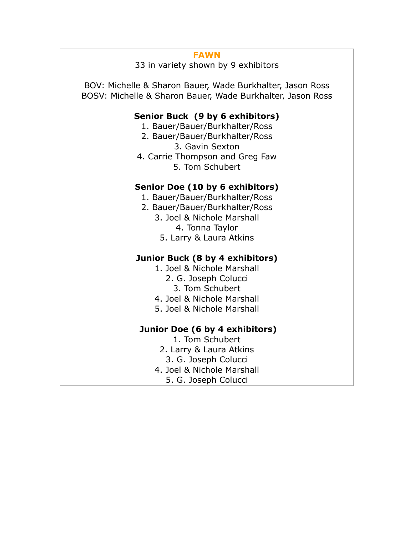#### **FAWN**

33 in variety shown by 9 exhibitors

BOV: Michelle & Sharon Bauer, Wade Burkhalter, Jason Ross BOSV: Michelle & Sharon Bauer, Wade Burkhalter, Jason Ross

### **Senior Buck (9 by 6 exhibitors)**

- 1. Bauer/Bauer/Burkhalter/Ross
- 2. Bauer/Bauer/Burkhalter/Ross
	- 3. Gavin Sexton
- 4. Carrie Thompson and Greg Faw 5. Tom Schubert

# **Senior Doe (10 by 6 exhibitors)**

- 1. Bauer/Bauer/Burkhalter/Ross
- 2. Bauer/Bauer/Burkhalter/Ross
	- 3. Joel & Nichole Marshall
		- 4. Tonna Taylor
		- 5. Larry & Laura Atkins

## **Junior Buck (8 by 4 exhibitors)**

- 1. Joel & Nichole Marshall
	- 2. G. Joseph Colucci
	- 3. Tom Schubert
- 4. Joel & Nichole Marshall
- 5. Joel & Nichole Marshall

# **Junior Doe (6 by 4 exhibitors)**

- 1. Tom Schubert
- 2. Larry & Laura Atkins
- 3. G. Joseph Colucci
- 4. Joel & Nichole Marshall
	- 5. G. Joseph Colucci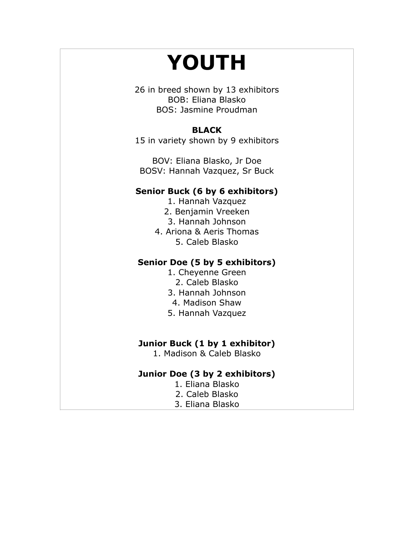# **YOUTH**

26 in breed shown by 13 exhibitors BOB: Eliana Blasko BOS: Jasmine Proudman

#### **BLACK**

15 in variety shown by 9 exhibitors

BOV: Eliana Blasko, Jr Doe BOSV: Hannah Vazquez, Sr Buck

### **Senior Buck (6 by 6 exhibitors)**

- 1. Hannah Vazquez 2. Benjamin Vreeken 3. Hannah Johnson
- 4. Ariona & Aeris Thomas 5. Caleb Blasko

## **Senior Doe (5 by 5 exhibitors)**

- 1. Cheyenne Green 2. Caleb Blasko 3. Hannah Johnson 4. Madison Shaw
- 5. Hannah Vazquez

## **Junior Buck (1 by 1 exhibitor)**

1. Madison & Caleb Blasko

### **Junior Doe (3 by 2 exhibitors)**

- 1. Eliana Blasko
- 2. Caleb Blasko
- 3. Eliana Blasko